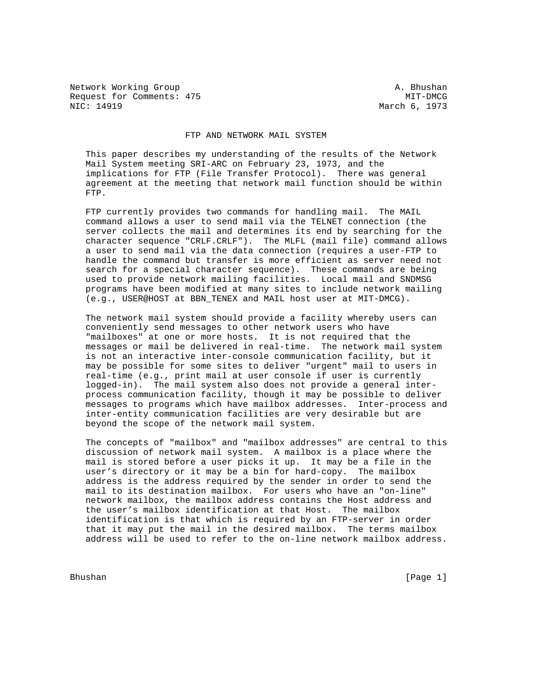Network Working Group and A. Bhushan Request for Comments: 475 MIT-DMCG MIT-DMCG MIT-DMCG MIT-DMCG MARCH 6, 1973

March 6, 1973

## FTP AND NETWORK MAIL SYSTEM

 This paper describes my understanding of the results of the Network Mail System meeting SRI-ARC on February 23, 1973, and the implications for FTP (File Transfer Protocol). There was general agreement at the meeting that network mail function should be within FTP.

 FTP currently provides two commands for handling mail. The MAIL command allows a user to send mail via the TELNET connection (the server collects the mail and determines its end by searching for the character sequence "CRLF.CRLF"). The MLFL (mail file) command allows a user to send mail via the data connection (requires a user-FTP to handle the command but transfer is more efficient as server need not search for a special character sequence). These commands are being used to provide network mailing facilities. Local mail and SNDMSG programs have been modified at many sites to include network mailing (e.g., USER@HOST at BBN\_TENEX and MAIL host user at MIT-DMCG).

 The network mail system should provide a facility whereby users can conveniently send messages to other network users who have "mailboxes" at one or more hosts. It is not required that the messages or mail be delivered in real-time. The network mail system is not an interactive inter-console communication facility, but it may be possible for some sites to deliver "urgent" mail to users in real-time (e.g., print mail at user console if user is currently logged-in). The mail system also does not provide a general inter process communication facility, though it may be possible to deliver messages to programs which have mailbox addresses. Inter-process and inter-entity communication facilities are very desirable but are beyond the scope of the network mail system.

 The concepts of "mailbox" and "mailbox addresses" are central to this discussion of network mail system. A mailbox is a place where the mail is stored before a user picks it up. It may be a file in the user's directory or it may be a bin for hard-copy. The mailbox address is the address required by the sender in order to send the mail to its destination mailbox. For users who have an "on-line" network mailbox, the mailbox address contains the Host address and the user's mailbox identification at that Host. The mailbox identification is that which is required by an FTP-server in order that it may put the mail in the desired mailbox. The terms mailbox address will be used to refer to the on-line network mailbox address.

Bhushan [Page 1]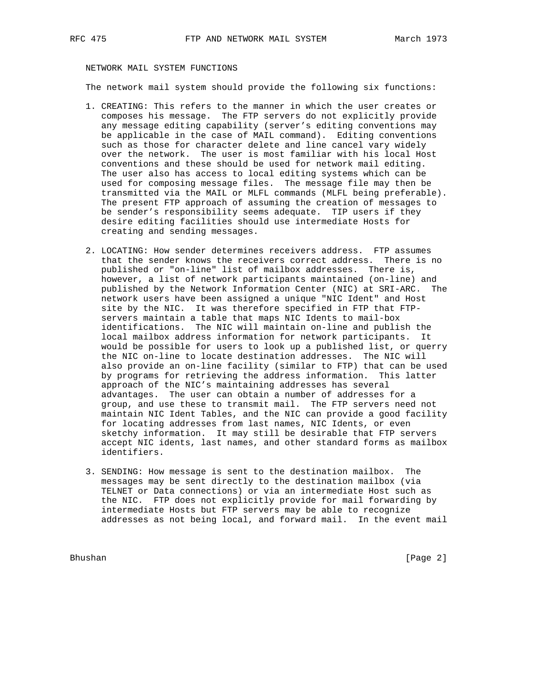# NETWORK MAIL SYSTEM FUNCTIONS

The network mail system should provide the following six functions:

- 1. CREATING: This refers to the manner in which the user creates or composes his message. The FTP servers do not explicitly provide any message editing capability (server's editing conventions may be applicable in the case of MAIL command). Editing conventions such as those for character delete and line cancel vary widely over the network. The user is most familiar with his local Host conventions and these should be used for network mail editing. The user also has access to local editing systems which can be used for composing message files. The message file may then be transmitted via the MAIL or MLFL commands (MLFL being preferable). The present FTP approach of assuming the creation of messages to be sender's responsibility seems adequate. TIP users if they desire editing facilities should use intermediate Hosts for creating and sending messages.
- 2. LOCATING: How sender determines receivers address. FTP assumes that the sender knows the receivers correct address. There is no published or "on-line" list of mailbox addresses. There is, however, a list of network participants maintained (on-line) and published by the Network Information Center (NIC) at SRI-ARC. The network users have been assigned a unique "NIC Ident" and Host site by the NIC. It was therefore specified in FTP that FTP servers maintain a table that maps NIC Idents to mail-box identifications. The NIC will maintain on-line and publish the local mailbox address information for network participants. It would be possible for users to look up a published list, or querry the NIC on-line to locate destination addresses. The NIC will also provide an on-line facility (similar to FTP) that can be used by programs for retrieving the address information. This latter approach of the NIC's maintaining addresses has several advantages. The user can obtain a number of addresses for a group, and use these to transmit mail. The FTP servers need not maintain NIC Ident Tables, and the NIC can provide a good facility for locating addresses from last names, NIC Idents, or even sketchy information. It may still be desirable that FTP servers accept NIC idents, last names, and other standard forms as mailbox identifiers.
- 3. SENDING: How message is sent to the destination mailbox. The messages may be sent directly to the destination mailbox (via TELNET or Data connections) or via an intermediate Host such as the NIC. FTP does not explicitly provide for mail forwarding by intermediate Hosts but FTP servers may be able to recognize addresses as not being local, and forward mail. In the event mail

Bhushan [Page 2]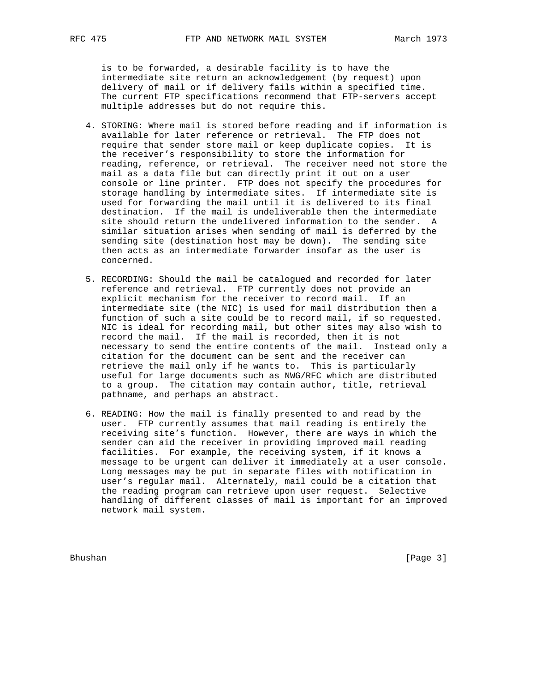is to be forwarded, a desirable facility is to have the intermediate site return an acknowledgement (by request) upon delivery of mail or if delivery fails within a specified time. The current FTP specifications recommend that FTP-servers accept multiple addresses but do not require this.

- 4. STORING: Where mail is stored before reading and if information is available for later reference or retrieval. The FTP does not require that sender store mail or keep duplicate copies. It is the receiver's responsibility to store the information for reading, reference, or retrieval. The receiver need not store the mail as a data file but can directly print it out on a user console or line printer. FTP does not specify the procedures for storage handling by intermediate sites. If intermediate site is used for forwarding the mail until it is delivered to its final destination. If the mail is undeliverable then the intermediate site should return the undelivered information to the sender. A similar situation arises when sending of mail is deferred by the sending site (destination host may be down). The sending site then acts as an intermediate forwarder insofar as the user is concerned.
- 5. RECORDING: Should the mail be catalogued and recorded for later reference and retrieval. FTP currently does not provide an explicit mechanism for the receiver to record mail. If an intermediate site (the NIC) is used for mail distribution then a function of such a site could be to record mail, if so requested. NIC is ideal for recording mail, but other sites may also wish to record the mail. If the mail is recorded, then it is not necessary to send the entire contents of the mail. Instead only a citation for the document can be sent and the receiver can retrieve the mail only if he wants to. This is particularly useful for large documents such as NWG/RFC which are distributed to a group. The citation may contain author, title, retrieval pathname, and perhaps an abstract.
- 6. READING: How the mail is finally presented to and read by the user. FTP currently assumes that mail reading is entirely the receiving site's function. However, there are ways in which the sender can aid the receiver in providing improved mail reading facilities. For example, the receiving system, if it knows a message to be urgent can deliver it immediately at a user console. Long messages may be put in separate files with notification in user's regular mail. Alternately, mail could be a citation that the reading program can retrieve upon user request. Selective handling of different classes of mail is important for an improved network mail system.

Bhushan [Page 3]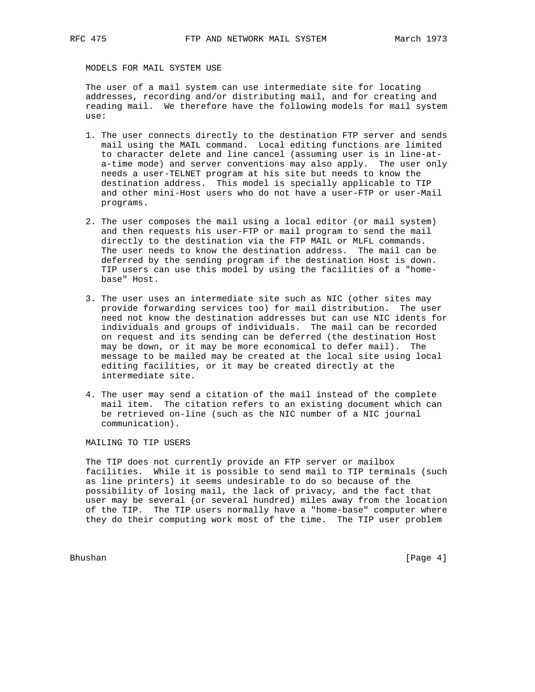MODELS FOR MAIL SYSTEM USE

 The user of a mail system can use intermediate site for locating addresses, recording and/or distributing mail, and for creating and reading mail. We therefore have the following models for mail system use:

- 1. The user connects directly to the destination FTP server and sends mail using the MAIL command. Local editing functions are limited to character delete and line cancel (assuming user is in line-at a-time mode) and server conventions may also apply. The user only needs a user-TELNET program at his site but needs to know the destination address. This model is specially applicable to TIP and other mini-Host users who do not have a user-FTP or user-Mail programs.
- 2. The user composes the mail using a local editor (or mail system) and then requests his user-FTP or mail program to send the mail directly to the destination via the FTP MAIL or MLFL commands. The user needs to know the destination address. The mail can be deferred by the sending program if the destination Host is down. TIP users can use this model by using the facilities of a "home base" Host.
- 3. The user uses an intermediate site such as NIC (other sites may provide forwarding services too) for mail distribution. The user need not know the destination addresses but can use NIC idents for individuals and groups of individuals. The mail can be recorded on request and its sending can be deferred (the destination Host may be down, or it may be more economical to defer mail). The message to be mailed may be created at the local site using local editing facilities, or it may be created directly at the intermediate site.
- 4. The user may send a citation of the mail instead of the complete mail item. The citation refers to an existing document which can be retrieved on-line (such as the NIC number of a NIC journal communication).

MAILING TO TIP USERS

 The TIP does not currently provide an FTP server or mailbox facilities. While it is possible to send mail to TIP terminals (such as line printers) it seems undesirable to do so because of the possibility of losing mail, the lack of privacy, and the fact that user may be several (or several hundred) miles away from the location of the TIP. The TIP users normally have a "home-base" computer where they do their computing work most of the time. The TIP user problem

Bhushan [Page 4]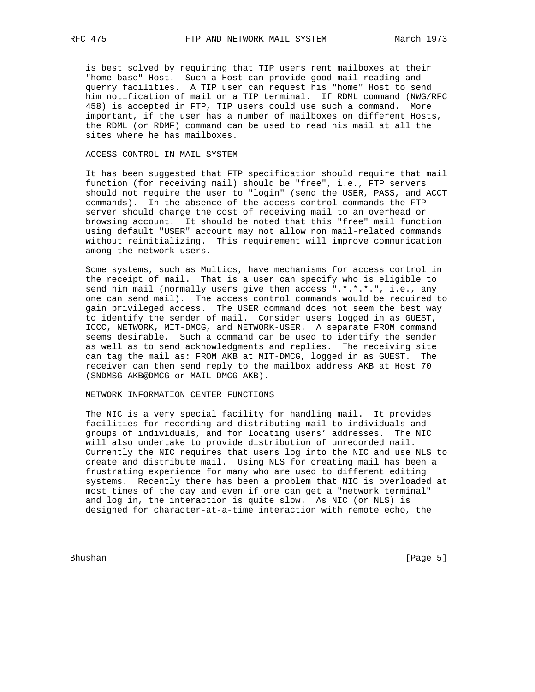is best solved by requiring that TIP users rent mailboxes at their "home-base" Host. Such a Host can provide good mail reading and querry facilities. A TIP user can request his "home" Host to send him notification of mail on a TIP terminal. If RDML command (NWG/RFC 458) is accepted in FTP, TIP users could use such a command. More important, if the user has a number of mailboxes on different Hosts, the RDML (or RDMF) command can be used to read his mail at all the sites where he has mailboxes.

### ACCESS CONTROL IN MAIL SYSTEM

 It has been suggested that FTP specification should require that mail function (for receiving mail) should be "free", i.e., FTP servers should not require the user to "login" (send the USER, PASS, and ACCT commands). In the absence of the access control commands the FTP server should charge the cost of receiving mail to an overhead or browsing account. It should be noted that this "free" mail function using default "USER" account may not allow non mail-related commands without reinitializing. This requirement will improve communication among the network users.

 Some systems, such as Multics, have mechanisms for access control in the receipt of mail. That is a user can specify who is eligible to send him mail (normally users give then access ".\*.\*.\*.", i.e., any one can send mail). The access control commands would be required to gain privileged access. The USER command does not seem the best way to identify the sender of mail. Consider users logged in as GUEST, ICCC, NETWORK, MIT-DMCG, and NETWORK-USER. A separate FROM command seems desirable. Such a command can be used to identify the sender as well as to send acknowledgments and replies. The receiving site can tag the mail as: FROM AKB at MIT-DMCG, logged in as GUEST. The receiver can then send reply to the mailbox address AKB at Host 70 (SNDMSG AKB@DMCG or MAIL DMCG AKB).

## NETWORK INFORMATION CENTER FUNCTIONS

 The NIC is a very special facility for handling mail. It provides facilities for recording and distributing mail to individuals and groups of individuals, and for locating users' addresses. The NIC will also undertake to provide distribution of unrecorded mail. Currently the NIC requires that users log into the NIC and use NLS to create and distribute mail. Using NLS for creating mail has been a frustrating experience for many who are used to different editing systems. Recently there has been a problem that NIC is overloaded at most times of the day and even if one can get a "network terminal" and log in, the interaction is quite slow. As NIC (or NLS) is designed for character-at-a-time interaction with remote echo, the

Bhushan [Page 5]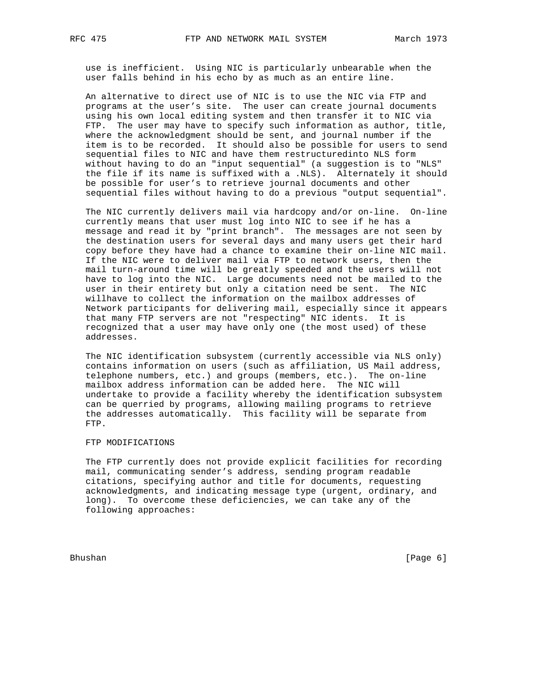use is inefficient. Using NIC is particularly unbearable when the user falls behind in his echo by as much as an entire line.

 An alternative to direct use of NIC is to use the NIC via FTP and programs at the user's site. The user can create journal documents using his own local editing system and then transfer it to NIC via FTP. The user may have to specify such information as author, title, where the acknowledgment should be sent, and journal number if the item is to be recorded. It should also be possible for users to send sequential files to NIC and have them restructuredinto NLS form without having to do an "input sequential" (a suggestion is to "NLS" the file if its name is suffixed with a .NLS). Alternately it should be possible for user's to retrieve journal documents and other sequential files without having to do a previous "output sequential".

 The NIC currently delivers mail via hardcopy and/or on-line. On-line currently means that user must log into NIC to see if he has a message and read it by "print branch". The messages are not seen by the destination users for several days and many users get their hard copy before they have had a chance to examine their on-line NIC mail. If the NIC were to deliver mail via FTP to network users, then the mail turn-around time will be greatly speeded and the users will not have to log into the NIC. Large documents need not be mailed to the user in their entirety but only a citation need be sent. The NIC willhave to collect the information on the mailbox addresses of Network participants for delivering mail, especially since it appears that many FTP servers are not "respecting" NIC idents. It is recognized that a user may have only one (the most used) of these addresses.

 The NIC identification subsystem (currently accessible via NLS only) contains information on users (such as affiliation, US Mail address, telephone numbers, etc.) and groups (members, etc.). The on-line mailbox address information can be added here. The NIC will undertake to provide a facility whereby the identification subsystem can be querried by programs, allowing mailing programs to retrieve the addresses automatically. This facility will be separate from FTP.

### FTP MODIFICATIONS

 The FTP currently does not provide explicit facilities for recording mail, communicating sender's address, sending program readable citations, specifying author and title for documents, requesting acknowledgments, and indicating message type (urgent, ordinary, and long). To overcome these deficiencies, we can take any of the following approaches:

Bhushan [Page 6]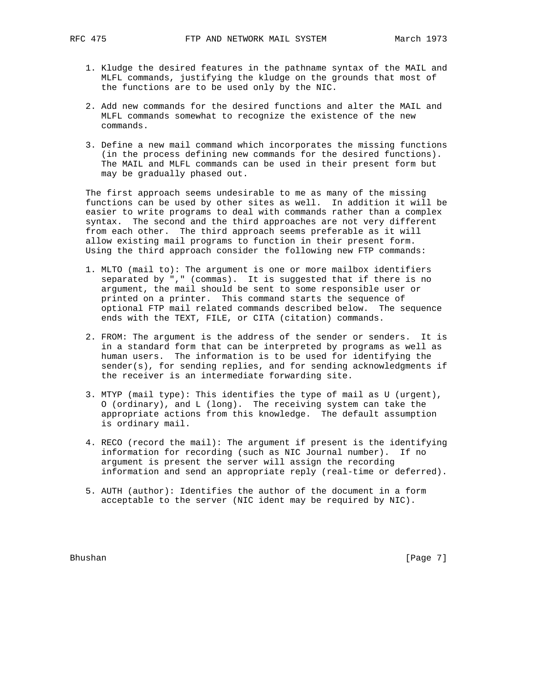- 1. Kludge the desired features in the pathname syntax of the MAIL and MLFL commands, justifying the kludge on the grounds that most of the functions are to be used only by the NIC.
- 2. Add new commands for the desired functions and alter the MAIL and MLFL commands somewhat to recognize the existence of the new commands.
- 3. Define a new mail command which incorporates the missing functions (in the process defining new commands for the desired functions). The MAIL and MLFL commands can be used in their present form but may be gradually phased out.

 The first approach seems undesirable to me as many of the missing functions can be used by other sites as well. In addition it will be easier to write programs to deal with commands rather than a complex syntax. The second and the third approaches are not very different from each other. The third approach seems preferable as it will allow existing mail programs to function in their present form. Using the third approach consider the following new FTP commands:

- 1. MLTO (mail to): The argument is one or more mailbox identifiers separated by "," (commas). It is suggested that if there is no argument, the mail should be sent to some responsible user or printed on a printer. This command starts the sequence of optional FTP mail related commands described below. The sequence ends with the TEXT, FILE, or CITA (citation) commands.
- 2. FROM: The argument is the address of the sender or senders. It is in a standard form that can be interpreted by programs as well as human users. The information is to be used for identifying the sender(s), for sending replies, and for sending acknowledgments if the receiver is an intermediate forwarding site.
- 3. MTYP (mail type): This identifies the type of mail as U (urgent), O (ordinary), and L (long). The receiving system can take the appropriate actions from this knowledge. The default assumption is ordinary mail.
- 4. RECO (record the mail): The argument if present is the identifying information for recording (such as NIC Journal number). If no argument is present the server will assign the recording information and send an appropriate reply (real-time or deferred).
- 5. AUTH (author): Identifies the author of the document in a form acceptable to the server (NIC ident may be required by NIC).

Bhushan [Page 7]